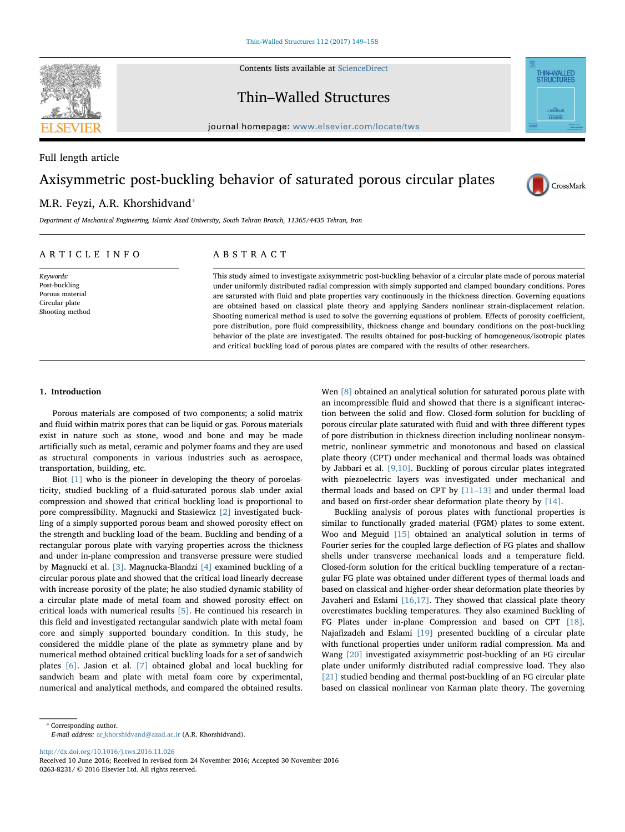Contents lists available at [ScienceDirect](http://www.sciencedirect.com/science/journal/02638231)



Full length article

Thin–Walled Structures



# journal homepage: [www.elsevier.com/locate/tws](http://www.elsevier.com/locate/tws)

# Axisymmetric post-buckling behavior of saturated porous circular plates



## M.R. Feyzi, A.R. Khorshidvand<sup>®</sup>

Department of Mechanical Engineering, Islamic Azad University, South Tehran Branch, 11365/4435 Tehran, Iran

### ARTICLE INFO

Keywords: Post-buckling Porous material Circular plate Shooting method

## ABSTRACT

This study aimed to investigate axisymmetric post-buckling behavior of a circular plate made of porous material under uniformly distributed radial compression with simply supported and clamped boundary conditions. Pores are saturated with fluid and plate properties vary continuously in the thickness direction. Governing equations are obtained based on classical plate theory and applying Sanders nonlinear strain-displacement relation. Shooting numerical method is used to solve the governing equations of problem. Effects of porosity coefficient, pore distribution, pore fluid compressibility, thickness change and boundary conditions on the post-buckling behavior of the plate are investigated. The results obtained for post-bucking of homogeneous/isotropic plates and critical buckling load of porous plates are compared with the results of other researchers.

### 1. Introduction

Porous materials are composed of two components; a solid matrix and fluid within matrix pores that can be liquid or gas. Porous materials exist in nature such as stone, wood and bone and may be made artificially such as metal, ceramic and polymer foams and they are used as structural components in various industries such as aerospace, transportation, building, etc.

Biot [\[1\]](#page--1-0) who is the pioneer in developing the theory of poroelasticity, studied buckling of a fluid-saturated porous slab under axial compression and showed that critical buckling load is proportional to pore compressibility. Magnucki and Stasiewicz [\[2\]](#page--1-1) investigated buckling of a simply supported porous beam and showed porosity effect on the strength and buckling load of the beam. Buckling and bending of a rectangular porous plate with varying properties across the thickness and under in-plane compression and transverse pressure were studied by Magnucki et al. [\[3\]](#page--1-2). Magnucka-Blandzi [\[4\]](#page--1-3) examined buckling of a circular porous plate and showed that the critical load linearly decrease with increase porosity of the plate; he also studied dynamic stability of a circular plate made of metal foam and showed porosity effect on critical loads with numerical results [\[5\]](#page--1-4). He continued his research in this field and investigated rectangular sandwich plate with metal foam core and simply supported boundary condition. In this study, he considered the middle plane of the plate as symmetry plane and by numerical method obtained critical buckling loads for a set of sandwich plates [\[6\].](#page--1-5) Jasion et al. [\[7\]](#page--1-6) obtained global and local buckling for sandwich beam and plate with metal foam core by experimental, numerical and analytical methods, and compared the obtained results.

Wen [\[8\]](#page--1-7) obtained an analytical solution for saturated porous plate with an incompressible fluid and showed that there is a significant interaction between the solid and flow. Closed-form solution for buckling of porous circular plate saturated with fluid and with three different types of pore distribution in thickness direction including nonlinear nonsymmetric, nonlinear symmetric and monotonous and based on classical plate theory (CPT) under mechanical and thermal loads was obtained by Jabbari et al. [\[9,10\].](#page--1-8) Buckling of porous circular plates integrated with piezoelectric layers was investigated under mechanical and thermal loads and based on CPT by [11–[13\]](#page--1-9) and under thermal load and based on first-order shear deformation plate theory by [\[14\].](#page--1-10)

Buckling analysis of porous plates with functional properties is similar to functionally graded material (FGM) plates to some extent. Woo and Meguid [\[15\]](#page--1-11) obtained an analytical solution in terms of Fourier series for the coupled large deflection of FG plates and shallow shells under transverse mechanical loads and a temperature field. Closed-form solution for the critical buckling temperature of a rectangular FG plate was obtained under different types of thermal loads and based on classical and higher-order shear deformation plate theories by Javaheri and Eslami [\[16,17\]](#page--1-12). They showed that classical plate theory overestimates buckling temperatures. They also examined Buckling of FG Plates under in-plane Compression and based on CPT [\[18\]](#page--1-13). Najafizadeh and Eslami [\[19\]](#page--1-14) presented buckling of a circular plate with functional properties under uniform radial compression. Ma and Wang [\[20\]](#page--1-15) investigated axisymmetric post-buckling of an FG circular plate under uniformly distributed radial compressive load. They also [\[21\]](#page--1-16) studied bending and thermal post-buckling of an FG circular plate based on classical nonlinear von Karman plate theory. The governing

<span id="page-0-0"></span>⁎ Corresponding author.

<http://dx.doi.org/10.1016/j.tws.2016.11.026>

E-mail address: ar\_khorshidvand@azad.ac.ir (A.R. Khorshidvand).

Received 10 June 2016; Received in revised form 24 November 2016; Accepted 30 November 2016 0263-8231/ © 2016 Elsevier Ltd. All rights reserved.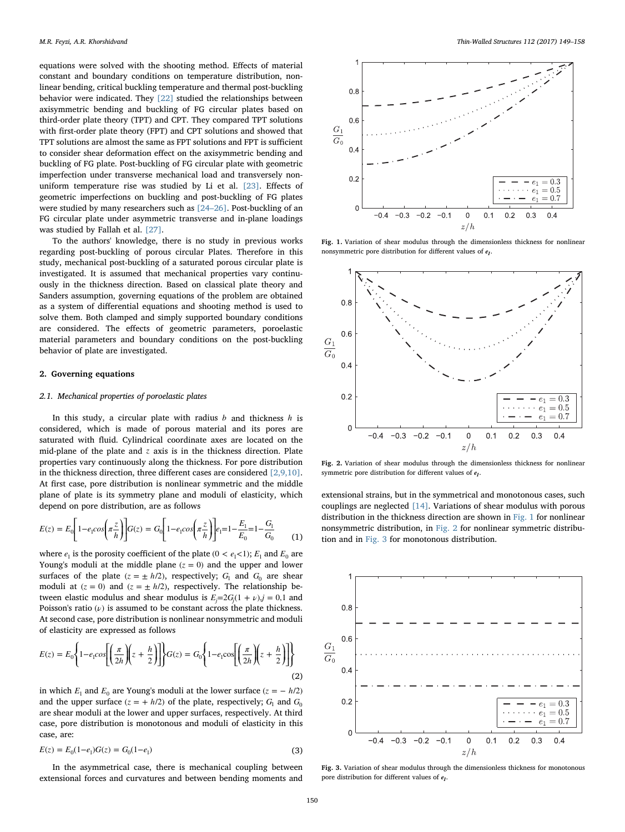equations were solved with the shooting method. Effects of material constant and boundary conditions on temperature distribution, nonlinear bending, critical buckling temperature and thermal post-buckling behavior were indicated. They [\[22\]](#page--1-17) studied the relationships between axisymmetric bending and buckling of FG circular plates based on third-order plate theory (TPT) and CPT. They compared TPT solutions with first-order plate theory (FPT) and CPT solutions and showed that TPT solutions are almost the same as FPT solutions and FPT is sufficient to consider shear deformation effect on the axisymmetric bending and buckling of FG plate. Post-buckling of FG circular plate with geometric imperfection under transverse mechanical load and transversely nonuniform temperature rise was studied by Li et al. [\[23\]](#page--1-18). Effects of geometric imperfections on buckling and post-buckling of FG plates were studied by many researchers such as [24–[26\]](#page--1-19). Post-buckling of an FG circular plate under asymmetric transverse and in-plane loadings was studied by Fallah et al. [\[27\]](#page--1-20).

To the authors' knowledge, there is no study in previous works regarding post-buckling of porous circular Plates. Therefore in this study, mechanical post-buckling of a saturated porous circular plate is investigated. It is assumed that mechanical properties vary continuously in the thickness direction. Based on classical plate theory and Sanders assumption, governing equations of the problem are obtained as a system of differential equations and shooting method is used to solve them. Both clamped and simply supported boundary conditions are considered. The effects of geometric parameters, poroelastic material parameters and boundary conditions on the post-buckling behavior of plate are investigated.

#### 2. Governing equations

#### 2.1. Mechanical properties of poroelastic plates

In this study, a circular plate with radius *b* and thickness *h* is considered, which is made of porous material and its pores are saturated with fluid. Cylindrical coordinate axes are located on the mid-plane of the plate and *z* axis is in the thickness direction. Plate properties vary continuously along the thickness. For pore distribution in the thickness direction, three different cases are considered  $[2,9,10]$ . At first case, pore distribution is nonlinear symmetric and the middle plane of plate is its symmetry plane and moduli of elasticity, which depend on pore distribution, are as follows

$$
E(z) = E_0 \left[ 1 - e_1 \cos \left( \frac{z}{h} \right) \right] G(z) = G_0 \left[ 1 - e_1 \cos \left( \frac{z}{h} \right) \right] e_1 = 1 - \frac{E_1}{E_0} = 1 - \frac{G_1}{G_0} \tag{1}
$$

where  $e_1$  is the porosity coefficient of the plate ( $0 < e_1 < 1$ );  $E_1$  and  $E_0$  are Young's moduli at the middle plane  $(z = 0)$  and the upper and lower surfaces of the plate  $(z = \pm h/2)$ , respectively;  $G_1$  and  $G_0$  are shear moduli at  $(z = 0)$  and  $(z = \pm h/2)$ , respectively. The relationship between elastic modulus and shear modulus is  $E_i=2G_i(1+\nu)$ ,  $j=0,1$  and Poisson's ratio  $(\nu)$  is assumed to be constant across the plate thickness. At second case, pore distribution is nonlinear nonsymmetric and moduli of elasticity are expressed as follows

$$
E(z) = E_0 \left\{ 1 - e_1 \cos \left[ \left( \frac{\pi}{2h} \right) \left( z + \frac{h}{2} \right) \right] \right\} G(z) = G_0 \left\{ 1 - e_1 \cos \left[ \left( \frac{\pi}{2h} \right) \left( z + \frac{h}{2} \right) \right] \right\}
$$
(2)

in which  $E_1$  and  $E_0$  are Young's moduli at the lower surface ( $z = -h/2$ ) and the upper surface  $(z = + h/2)$  of the plate, respectively;  $G_1$  and  $G_0$ are shear moduli at the lower and upper surfaces, respectively. At third case, pore distribution is monotonous and moduli of elasticity in this case, are:

$$
E(z) = E_0(1 - e_1)G(z) = G_0(1 - e_1)
$$
\n(3)

In the asymmetrical case, there is mechanical coupling between extensional forces and curvatures and between bending moments and

<span id="page-1-0"></span>

Fig. 1. Variation of shear modulus through the dimensionless thickness for nonlinear nonsymmetric pore distribution for different values of *e1*.

<span id="page-1-1"></span>

Fig. 2. Variation of shear modulus through the dimensionless thickness for nonlinear symmetric pore distribution for different values of  $e_1$ .

extensional strains, but in the symmetrical and monotonous cases, such couplings are neglected [\[14\]](#page--1-10). Variations of shear modulus with porous distribution in the thickness direction are shown in [Fig. 1](#page-1-0) for nonlinear nonsymmetric distribution, in [Fig. 2](#page-1-1) for nonlinear symmetric distribution and in [Fig. 3](#page-1-2) for monotonous distribution.

<span id="page-1-2"></span>

Fig. 3. Variation of shear modulus through the dimensionless thickness for monotonous pore distribution for different values of *e1*.